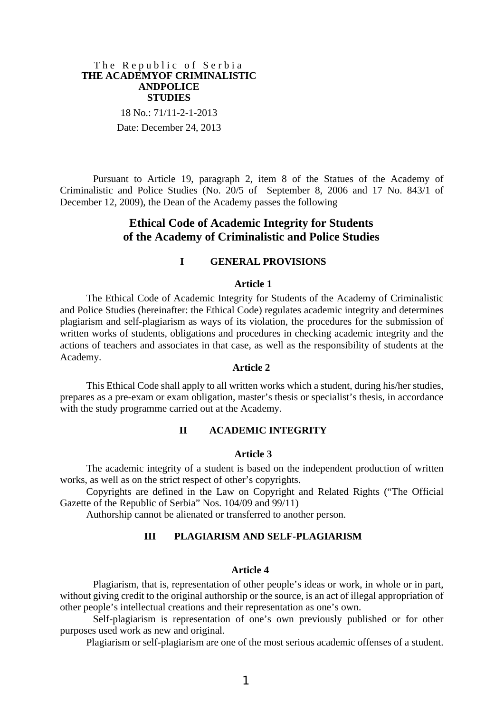### The Republic of Serbia **THE ACADEMYOF CRIMINALISTIC ANDPOLICE STUDIES**

18 No.: 71/11-2-1-2013 Date: December 24, 2013

Pursuant to Article 19, paragraph 2, item 8 of the Statues of the Academy of Criminalistic and Police Studies (No. 20/5 of September 8, 2006 and 17 No. 843/1 of December 12, 2009), the Dean of the Academy passes the following

# **Ethical Code of Academic Integrity for Students of the Academy of Criminalistic and Police Studies**

### **I GENERAL PROVISIONS**

### **Article 1**

The Ethical Code of Academic Integrity for Students of the Academy of Criminalistic and Police Studies (hereinafter: the Ethical Code) regulates academic integrity and determines plagiarism and self-plagiarism as ways of its violation, the procedures for the submission of written works of students, obligations and procedures in checking academic integrity and the actions of teachers and associates in that case, as well as the responsibility of students at the Academy.

## **Article 2**

This Ethical Code shall apply to all written works which a student, during his/her studies, prepares as a pre-exam or exam obligation, master's thesis or specialist's thesis, in accordance with the study programme carried out at the Academy.

# **II ACADEMIC INTEGRITY**

### **Article 3**

The academic integrity of a student is based on the independent production of written works, as well as on the strict respect of other's copyrights.

Copyrights are defined in the Law on Copyright and Related Rights ("The Official Gazette of the Republic of Serbia" Nos. 104/09 and 99/11)

Authorship cannot be alienated or transferred to another person.

# **III PLAGIARISM AND SELF-PLAGIARISM**

### **Article 4**

Plagiarism, that is, representation of other people's ideas or work, in whole or in part, without giving credit to the original authorship or the source, is an act of illegal appropriation of other people's intellectual creations and their representation as one's own.

Self-plagiarism is representation of one's own previously published or for other purposes used work as new and original.

Plagiarism or self-plagiarism are one of the most serious academic offenses of a student.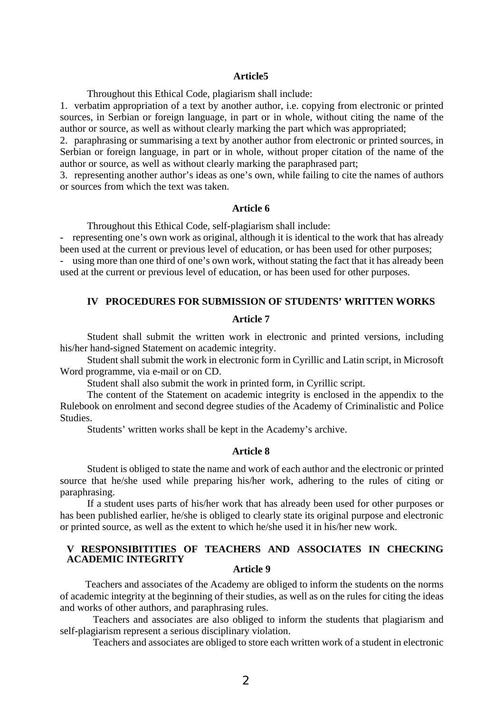#### **Article5**

Throughout this Ethical Code, plagiarism shall include:

1. verbatim appropriation of a text by another author, i.e. copying from electronic or printed sources, in Serbian or foreign language, in part or in whole, without citing the name of the author or source, as well as without clearly marking the part which was appropriated;

2. paraphrasing or summarising a text by another author from electronic or printed sources, in Serbian or foreign language, in part or in whole, without proper citation of the name of the author or source, as well as without clearly marking the paraphrased part;

3. representing another author's ideas as one's own, while failing to cite the names of authors or sources from which the text was taken.

### **Article 6**

Throughout this Ethical Code, self-plagiarism shall include:

- representing one's own work as original, although it is identical to the work that has already been used at the current or previous level of education, or has been used for other purposes;

- using more than one third of one's own work, without stating the fact that it has already been used at the current or previous level of education, or has been used for other purposes.

# **IV PROCEDURES FOR SUBMISSION OF STUDENTS' WRITTEN WORKS**

# **Article 7**

Student shall submit the written work in electronic and printed versions, including his/her hand-signed Statement on academic integrity.

Student shall submit the work in electronic form in Cyrillic and Latin script, in Microsoft Word programme, via e-mail or on CD.

Student shall also submit the work in printed form, in Cyrillic script.

The content of the Statement on academic integrity is enclosed in the appendix to the Rulebook on enrolment and second degree studies of the Academy of Criminalistic and Police Studies.

Students' written works shall be kept in the Academy's archive.

### **Article 8**

Student is obliged to state the name and work of each author and the electronic or printed source that he/she used while preparing his/her work, adhering to the rules of citing or paraphrasing.

If a student uses parts of his/her work that has already been used for other purposes or has been published earlier, he/she is obliged to clearly state its original purpose and electronic or printed source, as well as the extent to which he/she used it in his/her new work.

# **V RESPONSIBITITIES OF TEACHERS AND ASSOCIATES IN CHECKING ACADEMIC INTEGRITY**

# **Article 9**

Teachers and associates of the Academy are obliged to inform the students on the norms of academic integrity at the beginning of their studies, as well as on the rules for citing the ideas and works of other authors, and paraphrasing rules.

Teachers and associates are also obliged to inform the students that plagiarism and self-plagiarism represent a serious disciplinary violation.

Teachers and associates are obliged to store each written work of a student in electronic